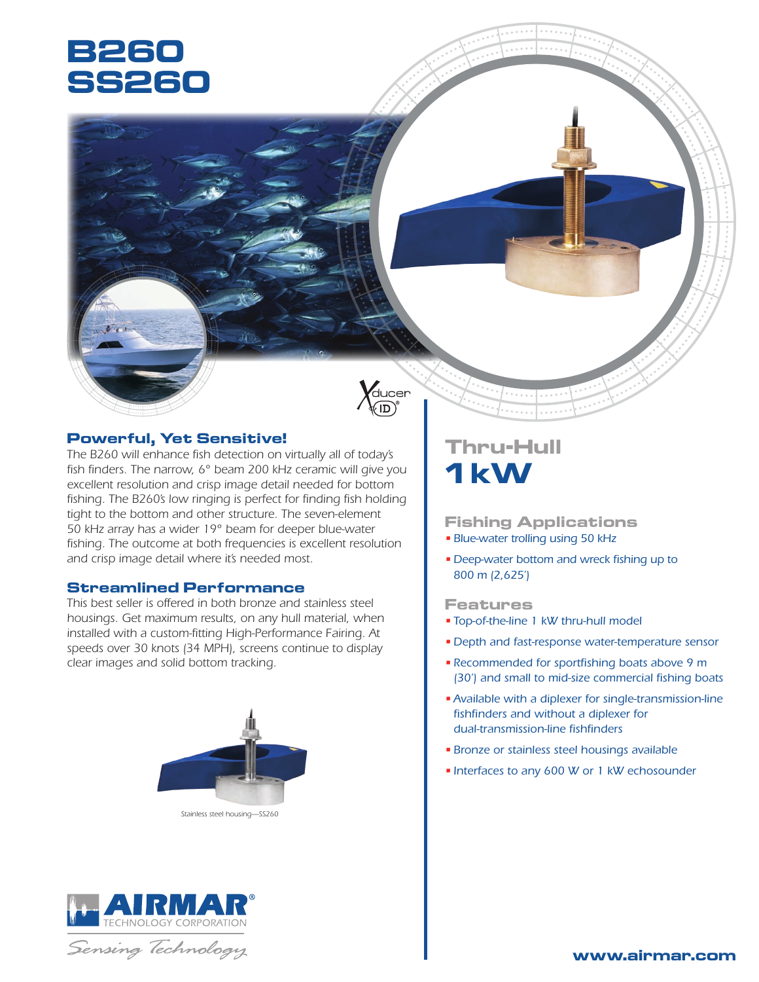# **B260 SS260**



# **Powerful, Yet Sensitive!**

*The B260 will enhance fish detection on virtually all of today's fish finders. The narrow, 6° beam 200 kHz ceramic will give you excellent resolution and crisp image detail needed for bottom*  fishing. The B260's low ringing is perfect for finding fish holding *tight to the bottom and other structure. The seven-element 50 kHz array has a wider 19° beam for deeper blue-water fishing. The outcome at both frequencies is excellent resolution and crisp image detail where it's needed most.*

## **Streamlined Performance**

*This best seller is offered in both bronze and stainless steel housings. Get maximum results, on any hull material, when installed with a custom-fitting High-Performance Fairing. At speeds over 30 knots (34 MPH), screens continue to display clear images and solid bottom tracking.*



*Stainless steel housing—SS260*



Sensing Technology

# **Thru-Hull 1 kW**

## **Fishing Applications**

- *• Blue-water trolling using 50 kHz*
- *• Deep-water bottom and wreck fishing up to 800 m (2,625')*

### **Features**

- *• Top-of-the-line 1 kW thru-hull model*
- *• Depth and fast-response water-temperature sensor*
- *• Recommended for sportfishing boats above 9 m (30') and small to mid-size commercial fishing boats*
- *•Available with a diplexer for single-transmission-line fishfinders and without a diplexer for dual-transmission-line fishfinders*
- *• Bronze or stainless steel housings available*
- *• Interfaces to any 600 W or 1 kW echosounder*